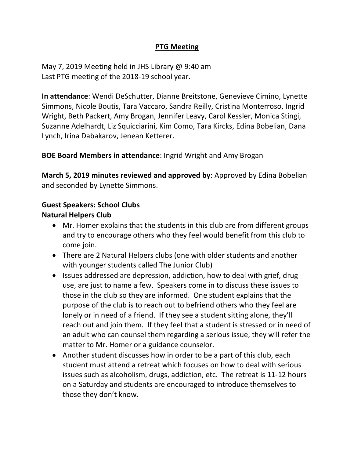# **PTG Meeting**

May 7, 2019 Meeting held in JHS Library @ 9:40 am Last PTG meeting of the 2018-19 school year.

**In attendance**: Wendi DeSchutter, Dianne Breitstone, Genevieve Cimino, Lynette Simmons, Nicole Boutis, Tara Vaccaro, Sandra Reilly, Cristina Monterroso, Ingrid Wright, Beth Packert, Amy Brogan, Jennifer Leavy, Carol Kessler, Monica Stingi, Suzanne Adelhardt, Liz Squicciarini, Kim Como, Tara Kircks, Edina Bobelian, Dana Lynch, Irina Dabakarov, Jenean Ketterer.

**BOE Board Members in attendance**: Ingrid Wright and Amy Brogan

**March 5, 2019 minutes reviewed and approved by**: Approved by Edina Bobelian and seconded by Lynette Simmons.

# **Guest Speakers: School Clubs**

## **Natural Helpers Club**

- Mr. Homer explains that the students in this club are from different groups and try to encourage others who they feel would benefit from this club to come join.
- There are 2 Natural Helpers clubs (one with older students and another with younger students called The Junior Club)
- Issues addressed are depression, addiction, how to deal with grief, drug use, are just to name a few. Speakers come in to discuss these issues to those in the club so they are informed. One student explains that the purpose of the club is to reach out to befriend others who they feel are lonely or in need of a friend. If they see a student sitting alone, they'll reach out and join them. If they feel that a student is stressed or in need of an adult who can counsel them regarding a serious issue, they will refer the matter to Mr. Homer or a guidance counselor.
- Another student discusses how in order to be a part of this club, each student must attend a retreat which focuses on how to deal with serious issues such as alcoholism, drugs, addiction, etc. The retreat is 11-12 hours on a Saturday and students are encouraged to introduce themselves to those they don't know.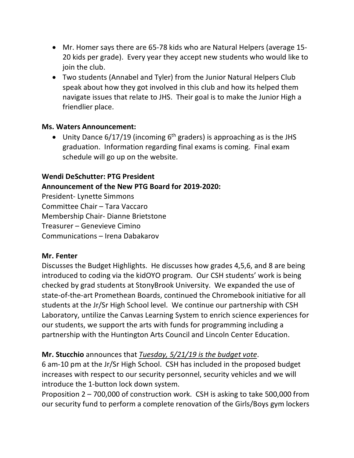- Mr. Homer says there are 65-78 kids who are Natural Helpers (average 15- 20 kids per grade). Every year they accept new students who would like to join the club.
- Two students (Annabel and Tyler) from the Junior Natural Helpers Club speak about how they got involved in this club and how its helped them navigate issues that relate to JHS. Their goal is to make the Junior High a friendlier place.

### **Ms. Waters Announcement:**

• Unity Dance  $6/17/19$  (incoming  $6<sup>th</sup>$  graders) is approaching as is the JHS graduation. Information regarding final exams is coming. Final exam schedule will go up on the website.

### **Wendi DeSchutter: PTG President**

## **Announcement of the New PTG Board for 2019-2020:**

President- Lynette Simmons Committee Chair – Tara Vaccaro Membership Chair- Dianne Brietstone Treasurer – Genevieve Cimino Communications – Irena Dabakarov

#### **Mr. Fenter**

Discusses the Budget Highlights. He discusses how grades 4,5,6, and 8 are being introduced to coding via the kidOYO program. Our CSH students' work is being checked by grad students at StonyBrook University. We expanded the use of state-of-the-art Promethean Boards, continued the Chromebook initiative for all students at the Jr/Sr High School level. We continue our partnership with CSH Laboratory, untilize the Canvas Learning System to enrich science experiences for our students, we support the arts with funds for programming including a partnership with the Huntington Arts Council and Lincoln Center Education.

## **Mr. Stucchio** announces that *Tuesday, 5/21/19 is the budget vote*.

6 am-10 pm at the Jr/Sr High School. CSH has included in the proposed budget increases with respect to our security personnel, security vehicles and we will introduce the 1-button lock down system.

Proposition 2 – 700,000 of construction work. CSH is asking to take 500,000 from our security fund to perform a complete renovation of the Girls/Boys gym lockers